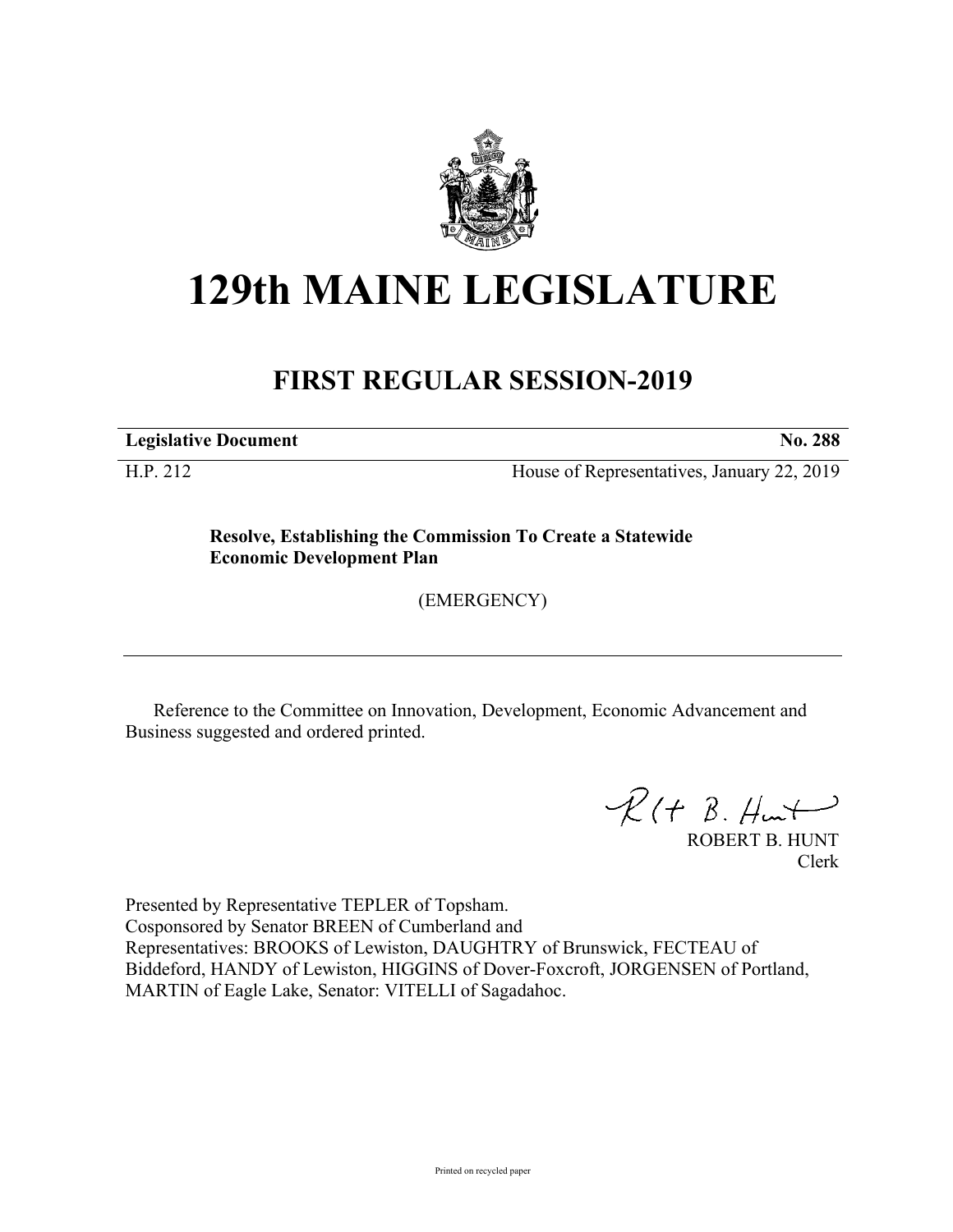

## **129th MAINE LEGISLATURE**

## **FIRST REGULAR SESSION-2019**

**Legislative Document No. 288**

H.P. 212 House of Representatives, January 22, 2019

**Resolve, Establishing the Commission To Create a Statewide Economic Development Plan**

(EMERGENCY)

Reference to the Committee on Innovation, Development, Economic Advancement and Business suggested and ordered printed.

 $R$ (†  $B.$  Hunt

ROBERT B. HUNT Clerk

Presented by Representative TEPLER of Topsham. Cosponsored by Senator BREEN of Cumberland and Representatives: BROOKS of Lewiston, DAUGHTRY of Brunswick, FECTEAU of Biddeford, HANDY of Lewiston, HIGGINS of Dover-Foxcroft, JORGENSEN of Portland, MARTIN of Eagle Lake, Senator: VITELLI of Sagadahoc.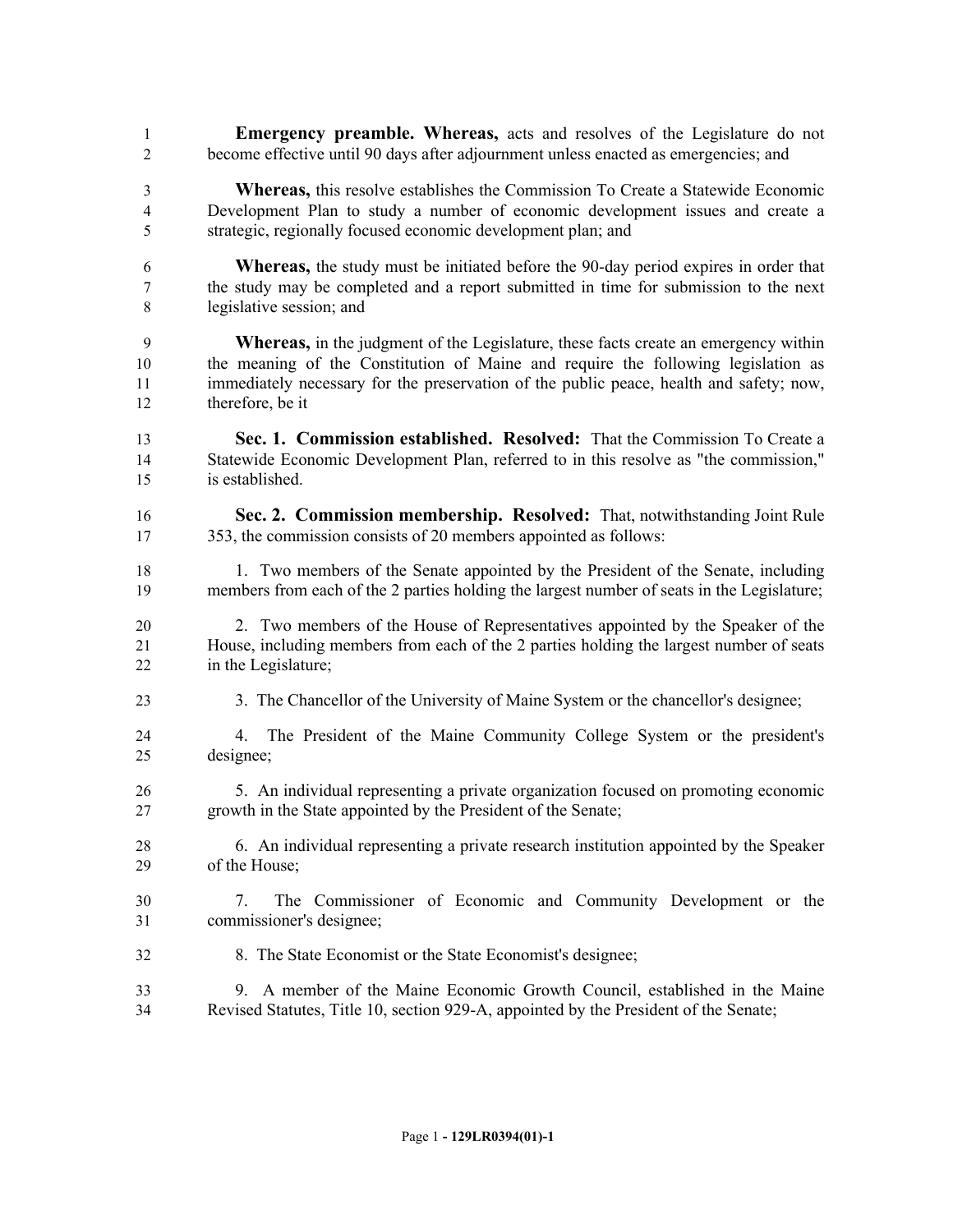- **Emergency preamble. Whereas,** acts and resolves of the Legislature do not become effective until 90 days after adjournment unless enacted as emergencies; and
- **Whereas,** this resolve establishes the Commission To Create a Statewide Economic Development Plan to study a number of economic development issues and create a strategic, regionally focused economic development plan; and
- **Whereas,** the study must be initiated before the 90-day period expires in order that the study may be completed and a report submitted in time for submission to the next legislative session; and
- **Whereas,** in the judgment of the Legislature, these facts create an emergency within the meaning of the Constitution of Maine and require the following legislation as immediately necessary for the preservation of the public peace, health and safety; now, therefore, be it
- **Sec. 1. Commission established. Resolved:** That the Commission To Create a Statewide Economic Development Plan, referred to in this resolve as "the commission," is established.
- **Sec. 2. Commission membership. Resolved:** That, notwithstanding Joint Rule 353, the commission consists of 20 members appointed as follows:
- 18 18 1. Two members of the Senate appointed by the President of the Senate, including members from each of the 2 parties holding the largest number of seats in the Legislature;
- 2. Two members of the House of Representatives appointed by the Speaker of the House, including members from each of the 2 parties holding the largest number of seats in the Legislature;
- 3. The Chancellor of the University of Maine System or the chancellor's designee;
- 4. The President of the Maine Community College System or the president's designee;
- 5. An individual representing a private organization focused on promoting economic growth in the State appointed by the President of the Senate;
- 6. An individual representing a private research institution appointed by the Speaker of the House;
- 7. The Commissioner of Economic and Community Development or the commissioner's designee;
- 8. The State Economist or the State Economist's designee;
- 9. A member of the Maine Economic Growth Council, established in the Maine Revised Statutes, Title 10, section 929-A, appointed by the President of the Senate;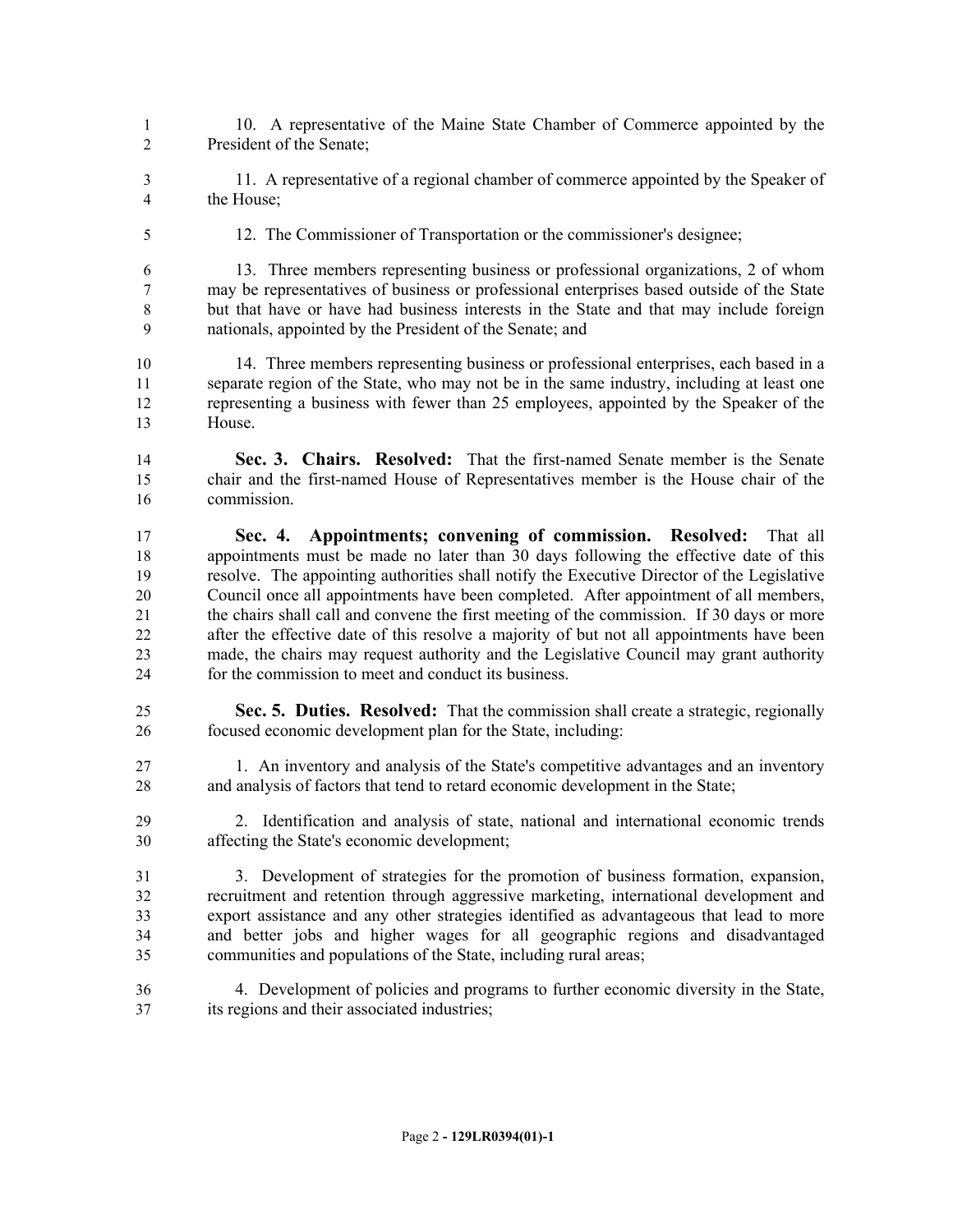- 10. A representative of the Maine State Chamber of Commerce appointed by the President of the Senate;
- 11. A representative of a regional chamber of commerce appointed by the Speaker of the House;
- 
- 

12. The Commissioner of Transportation or the commissioner's designee;

 13. Three members representing business or professional organizations, 2 of whom may be representatives of business or professional enterprises based outside of the State but that have or have had business interests in the State and that may include foreign nationals, appointed by the President of the Senate; and

 14. Three members representing business or professional enterprises, each based in a separate region of the State, who may not be in the same industry, including at least one representing a business with fewer than 25 employees, appointed by the Speaker of the House.

 **Sec. 3. Chairs. Resolved:** That the first-named Senate member is the Senate chair and the first-named House of Representatives member is the House chair of the commission.

- **Sec. 4. Appointments; convening of commission. Resolved:** That all appointments must be made no later than 30 days following the effective date of this resolve. The appointing authorities shall notify the Executive Director of the Legislative Council once all appointments have been completed. After appointment of all members, the chairs shall call and convene the first meeting of the commission. If 30 days or more after the effective date of this resolve a majority of but not all appointments have been made, the chairs may request authority and the Legislative Council may grant authority for the commission to meet and conduct its business.
- **Sec. 5. Duties. Resolved:** That the commission shall create a strategic, regionally focused economic development plan for the State, including:
- 1. An inventory and analysis of the State's competitive advantages and an inventory and analysis of factors that tend to retard economic development in the State;
- 2. Identification and analysis of state, national and international economic trends affecting the State's economic development;

 3. Development of strategies for the promotion of business formation, expansion, recruitment and retention through aggressive marketing, international development and export assistance and any other strategies identified as advantageous that lead to more and better jobs and higher wages for all geographic regions and disadvantaged communities and populations of the State, including rural areas;

 4. Development of policies and programs to further economic diversity in the State, its regions and their associated industries;